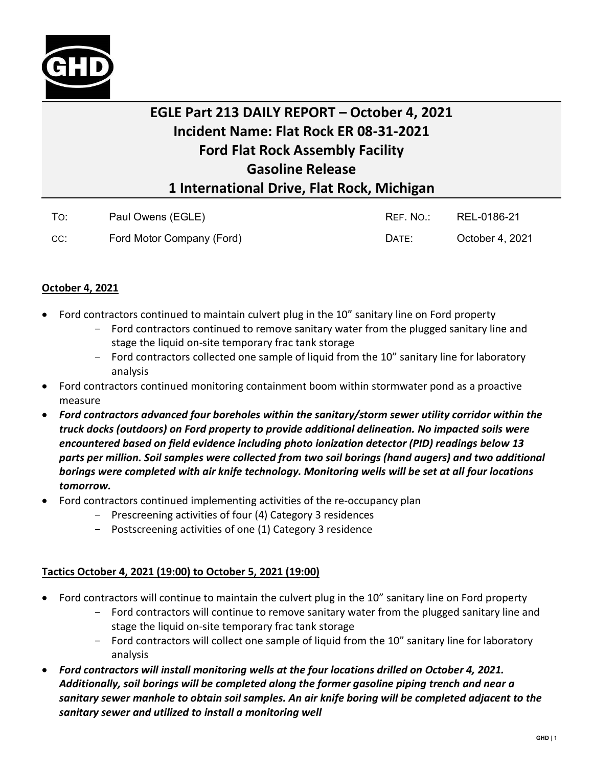

## **EGLE Part 213 DAILY REPORT – October 4, 2021 Incident Name: Flat Rock ER 08-31-2021 Ford Flat Rock Assembly Facility Gasoline Release 1 International Drive, Flat Rock, Michigan**

| To: | Paul Owens (EGLE)         | REF. NO.: | REL-0186-21     |
|-----|---------------------------|-----------|-----------------|
| CC: | Ford Motor Company (Ford) | DATE:     | October 4, 2021 |

## **October 4, 2021**

- Ford contractors continued to maintain culvert plug in the 10" sanitary line on Ford property
	- Ford contractors continued to remove sanitary water from the plugged sanitary line and stage the liquid on-site temporary frac tank storage
	- Ford contractors collected one sample of liquid from the 10" sanitary line for laboratory analysis
- Ford contractors continued monitoring containment boom within stormwater pond as a proactive measure
- *Ford contractors advanced four boreholes within the sanitary/storm sewer utility corridor within the truck docks (outdoors) on Ford property to provide additional delineation. No impacted soils were encountered based on field evidence including photo ionization detector (PID) readings below 13 parts per million. Soil samples were collected from two soil borings (hand augers) and two additional borings were completed with air knife technology. Monitoring wells will be set at all four locations tomorrow.*
- Ford contractors continued implementing activities of the re-occupancy plan
	- Prescreening activities of four (4) Category 3 residences
	- Postscreening activities of one (1) Category 3 residence

## **Tactics October 4, 2021 (19:00) to October 5, 2021 (19:00)**

- Ford contractors will continue to maintain the culvert plug in the 10" sanitary line on Ford property
	- Ford contractors will continue to remove sanitary water from the plugged sanitary line and stage the liquid on-site temporary frac tank storage
	- Ford contractors will collect one sample of liquid from the 10" sanitary line for laboratory analysis
- *Ford contractors will install monitoring wells at the four locations drilled on October 4, 2021. Additionally, soil borings will be completed along the former gasoline piping trench and near a sanitary sewer manhole to obtain soil samples. An air knife boring will be completed adjacent to the sanitary sewer and utilized to install a monitoring well*